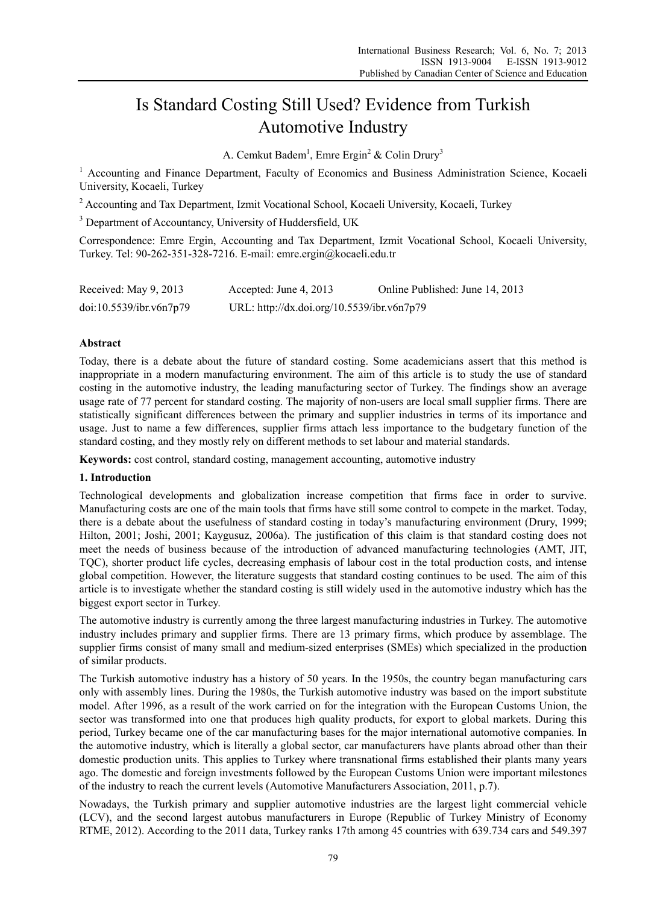# Is Standard Costing Still Used? Evidence from Turkish Automotive Industry

A. Cemkut Badem<sup>1</sup>, Emre Ergin<sup>2</sup> & Colin Drury<sup>3</sup>

<sup>1</sup> Accounting and Finance Department, Faculty of Economics and Business Administration Science, Kocaeli University, Kocaeli, Turkey

<sup>2</sup> Accounting and Tax Department, Izmit Vocational School, Kocaeli University, Kocaeli, Turkey

<sup>3</sup> Department of Accountancy, University of Huddersfield, UK

Correspondence: Emre Ergin, Accounting and Tax Department, Izmit Vocational School, Kocaeli University, Turkey. Tel: 90-262-351-328-7216. E-mail: emre.ergin@kocaeli.edu.tr

| Received: May 9, 2013   | Accepted: June 4, $2013$                   | Online Published: June 14, 2013 |
|-------------------------|--------------------------------------------|---------------------------------|
| doi:10.5539/ibr.v6n7p79 | URL: http://dx.doi.org/10.5539/ibr.v6n7p79 |                                 |

## **Abstract**

Today, there is a debate about the future of standard costing. Some academicians assert that this method is inappropriate in a modern manufacturing environment. The aim of this article is to study the use of standard costing in the automotive industry, the leading manufacturing sector of Turkey. The findings show an average usage rate of 77 percent for standard costing. The majority of non-users are local small supplier firms. There are statistically significant differences between the primary and supplier industries in terms of its importance and usage. Just to name a few differences, supplier firms attach less importance to the budgetary function of the standard costing, and they mostly rely on different methods to set labour and material standards.

**Keywords:** cost control, standard costing, management accounting, automotive industry

#### **1. Introduction**

Technological developments and globalization increase competition that firms face in order to survive. Manufacturing costs are one of the main tools that firms have still some control to compete in the market. Today, there is a debate about the usefulness of standard costing in today's manufacturing environment (Drury, 1999; Hilton, 2001; Joshi, 2001; Kaygusuz, 2006a). The justification of this claim is that standard costing does not meet the needs of business because of the introduction of advanced manufacturing technologies (AMT, JIT, TQC), shorter product life cycles, decreasing emphasis of labour cost in the total production costs, and intense global competition. However, the literature suggests that standard costing continues to be used. The aim of this article is to investigate whether the standard costing is still widely used in the automotive industry which has the biggest export sector in Turkey.

The automotive industry is currently among the three largest manufacturing industries in Turkey. The automotive industry includes primary and supplier firms. There are 13 primary firms, which produce by assemblage. The supplier firms consist of many small and medium-sized enterprises (SMEs) which specialized in the production of similar products.

The Turkish automotive industry has a history of 50 years. In the 1950s, the country began manufacturing cars only with assembly lines. During the 1980s, the Turkish automotive industry was based on the import substitute model. After 1996, as a result of the work carried on for the integration with the European Customs Union, the sector was transformed into one that produces high quality products, for export to global markets. During this period, Turkey became one of the car manufacturing bases for the major international automotive companies. In the automotive industry, which is literally a global sector, car manufacturers have plants abroad other than their domestic production units. This applies to Turkey where transnational firms established their plants many years ago. The domestic and foreign investments followed by the European Customs Union were important milestones of the industry to reach the current levels (Automotive Manufacturers Association, 2011, p.7).

Nowadays, the Turkish primary and supplier automotive industries are the largest light commercial vehicle (LCV), and the second largest autobus manufacturers in Europe (Republic of Turkey Ministry of Economy RTME, 2012). According to the 2011 data, Turkey ranks 17th among 45 countries with 639.734 cars and 549.397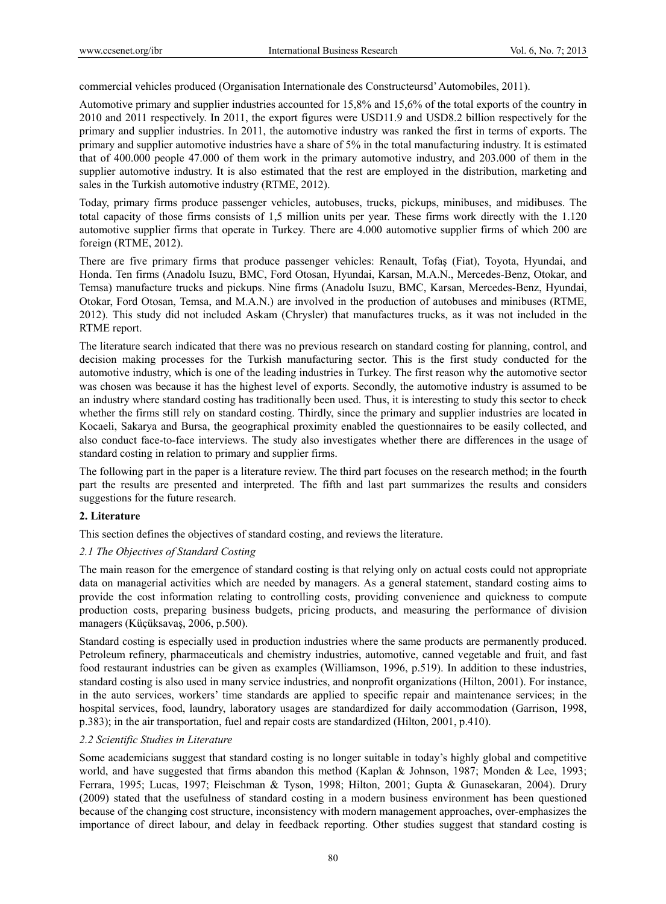commercial vehicles produced (Organisation Internationale des Constructeursd' Automobiles, 2011).

Automotive primary and supplier industries accounted for 15,8% and 15,6% of the total exports of the country in 2010 and 2011 respectively. In 2011, the export figures were USD11.9 and USD8.2 billion respectively for the primary and supplier industries. In 2011, the automotive industry was ranked the first in terms of exports. The primary and supplier automotive industries have a share of 5% in the total manufacturing industry. It is estimated that of 400.000 people 47.000 of them work in the primary automotive industry, and 203.000 of them in the supplier automotive industry. It is also estimated that the rest are employed in the distribution, marketing and sales in the Turkish automotive industry (RTME, 2012).

Today, primary firms produce passenger vehicles, autobuses, trucks, pickups, minibuses, and midibuses. The total capacity of those firms consists of 1,5 million units per year. These firms work directly with the 1.120 automotive supplier firms that operate in Turkey. There are 4.000 automotive supplier firms of which 200 are foreign (RTME, 2012).

There are five primary firms that produce passenger vehicles: Renault, Tofaş (Fiat), Toyota, Hyundai, and Honda. Ten firms (Anadolu Isuzu, BMC, Ford Otosan, Hyundai, Karsan, M.A.N., Mercedes-Benz, Otokar, and Temsa) manufacture trucks and pickups. Nine firms (Anadolu Isuzu, BMC, Karsan, Mercedes-Benz, Hyundai, Otokar, Ford Otosan, Temsa, and M.A.N.) are involved in the production of autobuses and minibuses (RTME, 2012). This study did not included Askam (Chrysler) that manufactures trucks, as it was not included in the RTME report.

The literature search indicated that there was no previous research on standard costing for planning, control, and decision making processes for the Turkish manufacturing sector. This is the first study conducted for the automotive industry, which is one of the leading industries in Turkey. The first reason why the automotive sector was chosen was because it has the highest level of exports. Secondly, the automotive industry is assumed to be an industry where standard costing has traditionally been used. Thus, it is interesting to study this sector to check whether the firms still rely on standard costing. Thirdly, since the primary and supplier industries are located in Kocaeli, Sakarya and Bursa, the geographical proximity enabled the questionnaires to be easily collected, and also conduct face-to-face interviews. The study also investigates whether there are differences in the usage of standard costing in relation to primary and supplier firms.

The following part in the paper is a literature review. The third part focuses on the research method; in the fourth part the results are presented and interpreted. The fifth and last part summarizes the results and considers suggestions for the future research.

# **2. Literature**

This section defines the objectives of standard costing, and reviews the literature.

# *2.1 The Objectives of Standard Costing*

The main reason for the emergence of standard costing is that relying only on actual costs could not appropriate data on managerial activities which are needed by managers. As a general statement, standard costing aims to provide the cost information relating to controlling costs, providing convenience and quickness to compute production costs, preparing business budgets, pricing products, and measuring the performance of division managers (Küçüksavaş, 2006, p.500).

Standard costing is especially used in production industries where the same products are permanently produced. Petroleum refinery, pharmaceuticals and chemistry industries, automotive, canned vegetable and fruit, and fast food restaurant industries can be given as examples (Williamson, 1996, p.519). In addition to these industries, standard costing is also used in many service industries, and nonprofit organizations (Hilton, 2001). For instance, in the auto services, workers' time standards are applied to specific repair and maintenance services; in the hospital services, food, laundry, laboratory usages are standardized for daily accommodation (Garrison, 1998, p.383); in the air transportation, fuel and repair costs are standardized (Hilton, 2001, p.410).

## *2.2 Scientific Studies in Literature*

Some academicians suggest that standard costing is no longer suitable in today's highly global and competitive world, and have suggested that firms abandon this method (Kaplan & Johnson, 1987; Monden & Lee, 1993; Ferrara, 1995; Lucas, 1997; Fleischman & Tyson, 1998; Hilton, 2001; Gupta & Gunasekaran, 2004). Drury (2009) stated that the usefulness of standard costing in a modern business environment has been questioned because of the changing cost structure, inconsistency with modern management approaches, over-emphasizes the importance of direct labour, and delay in feedback reporting. Other studies suggest that standard costing is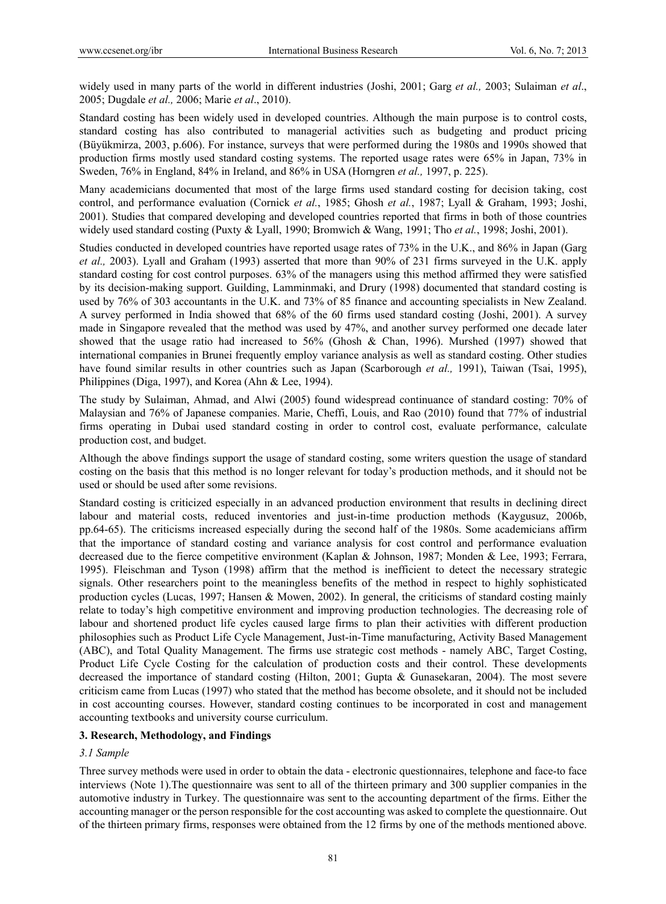widely used in many parts of the world in different industries (Joshi, 2001; Garg *et al.,* 2003; Sulaiman *et al*., 2005; Dugdale *et al.,* 2006; Marie *et al*., 2010).

Standard costing has been widely used in developed countries. Although the main purpose is to control costs, standard costing has also contributed to managerial activities such as budgeting and product pricing (Büyükmirza, 2003, p.606). For instance, surveys that were performed during the 1980s and 1990s showed that production firms mostly used standard costing systems. The reported usage rates were 65% in Japan, 73% in Sweden, 76% in England, 84% in Ireland, and 86% in USA (Horngren *et al.,* 1997, p. 225).

Many academicians documented that most of the large firms used standard costing for decision taking, cost control, and performance evaluation (Cornick *et al.*, 1985; Ghosh *et al.*, 1987; Lyall & Graham, 1993; Joshi, 2001). Studies that compared developing and developed countries reported that firms in both of those countries widely used standard costing (Puxty & Lyall, 1990; Bromwich & Wang, 1991; Tho *et al.*, 1998; Joshi, 2001).

Studies conducted in developed countries have reported usage rates of 73% in the U.K., and 86% in Japan (Garg *et al.,* 2003). Lyall and Graham (1993) asserted that more than 90% of 231 firms surveyed in the U.K. apply standard costing for cost control purposes. 63% of the managers using this method affirmed they were satisfied by its decision-making support. Guilding, Lamminmaki, and Drury (1998) documented that standard costing is used by 76% of 303 accountants in the U.K. and 73% of 85 finance and accounting specialists in New Zealand. A survey performed in India showed that 68% of the 60 firms used standard costing (Joshi, 2001). A survey made in Singapore revealed that the method was used by 47%, and another survey performed one decade later showed that the usage ratio had increased to 56% (Ghosh & Chan, 1996). Murshed (1997) showed that international companies in Brunei frequently employ variance analysis as well as standard costing. Other studies have found similar results in other countries such as Japan (Scarborough *et al.,* 1991), Taiwan (Tsai, 1995), Philippines (Diga, 1997), and Korea (Ahn & Lee, 1994).

The study by Sulaiman, Ahmad, and Alwi (2005) found widespread continuance of standard costing: 70% of Malaysian and 76% of Japanese companies. Marie, Cheffi, Louis, and Rao (2010) found that 77% of industrial firms operating in Dubai used standard costing in order to control cost, evaluate performance, calculate production cost, and budget.

Although the above findings support the usage of standard costing, some writers question the usage of standard costing on the basis that this method is no longer relevant for today's production methods, and it should not be used or should be used after some revisions.

Standard costing is criticized especially in an advanced production environment that results in declining direct labour and material costs, reduced inventories and just-in-time production methods (Kaygusuz, 2006b, pp.64-65). The criticisms increased especially during the second half of the 1980s. Some academicians affirm that the importance of standard costing and variance analysis for cost control and performance evaluation decreased due to the fierce competitive environment (Kaplan & Johnson, 1987; Monden & Lee, 1993; Ferrara, 1995). Fleischman and Tyson (1998) affirm that the method is inefficient to detect the necessary strategic signals. Other researchers point to the meaningless benefits of the method in respect to highly sophisticated production cycles (Lucas, 1997; Hansen & Mowen, 2002). In general, the criticisms of standard costing mainly relate to today's high competitive environment and improving production technologies. The decreasing role of labour and shortened product life cycles caused large firms to plan their activities with different production philosophies such as Product Life Cycle Management, Just-in-Time manufacturing, Activity Based Management (ABC), and Total Quality Management. The firms use strategic cost methods - namely ABC, Target Costing, Product Life Cycle Costing for the calculation of production costs and their control. These developments decreased the importance of standard costing (Hilton, 2001; Gupta & Gunasekaran, 2004). The most severe criticism came from Lucas (1997) who stated that the method has become obsolete, and it should not be included in cost accounting courses. However, standard costing continues to be incorporated in cost and management accounting textbooks and university course curriculum.

# **3. Research, Methodology, and Findings**

# *3.1 Sample*

Three survey methods were used in order to obtain the data - electronic questionnaires, telephone and face-to face interviews (Note 1).The questionnaire was sent to all of the thirteen primary and 300 supplier companies in the automotive industry in Turkey. The questionnaire was sent to the accounting department of the firms. Either the accounting manager or the person responsible for the cost accounting was asked to complete the questionnaire. Out of the thirteen primary firms, responses were obtained from the 12 firms by one of the methods mentioned above.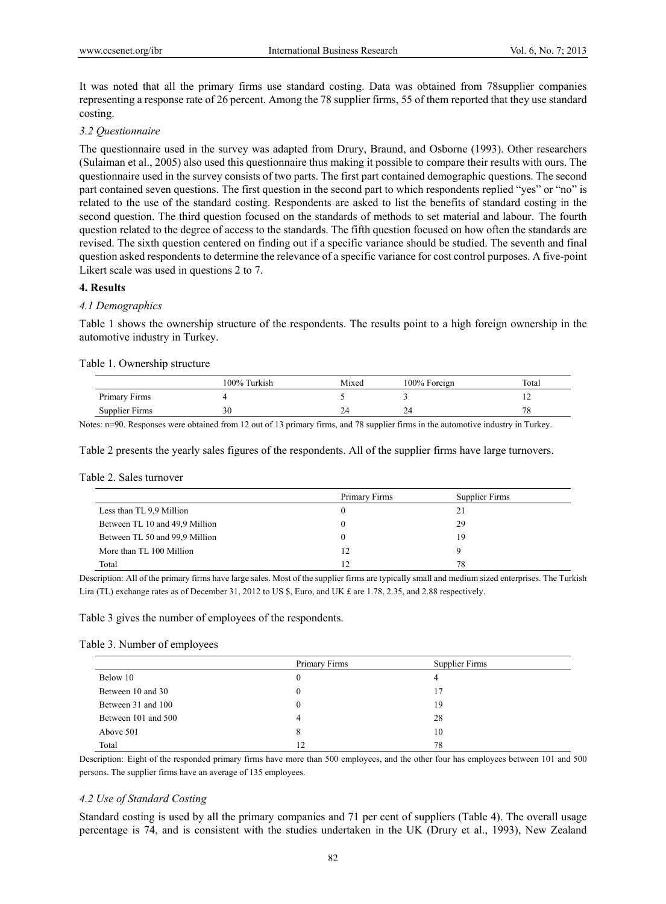It was noted that all the primary firms use standard costing. Data was obtained from 78supplier companies representing a response rate of 26 percent. Among the 78 supplier firms, 55 of them reported that they use standard costing.

## *3.2 Questionnaire*

The questionnaire used in the survey was adapted from Drury, Braund, and Osborne (1993). Other researchers (Sulaiman et al., 2005) also used this questionnaire thus making it possible to compare their results with ours. The questionnaire used in the survey consists of two parts. The first part contained demographic questions. The second part contained seven questions. The first question in the second part to which respondents replied "yes" or "no" is related to the use of the standard costing. Respondents are asked to list the benefits of standard costing in the second question. The third question focused on the standards of methods to set material and labour. The fourth question related to the degree of access to the standards. The fifth question focused on how often the standards are revised. The sixth question centered on finding out if a specific variance should be studied. The seventh and final question asked respondents to determine the relevance of a specific variance for cost control purposes. A five-point Likert scale was used in questions 2 to 7.

# **4. Results**

# *4.1 Demographics*

Table 1 shows the ownership structure of the respondents. The results point to a high foreign ownership in the automotive industry in Turkey.

## Table 1. Ownership structure

|                | 100% Turkish | Mixed | 100% Foreign | Total     |
|----------------|--------------|-------|--------------|-----------|
| Primary Firms  |              |       |              | . .       |
| Supplier Firms | 30           | 24    |              | πc<br>ە / |

Notes: n=90. Responses were obtained from 12 out of 13 primary firms, and 78 supplier firms in the automotive industry in Turkey.

Table 2 presents the yearly sales figures of the respondents. All of the supplier firms have large turnovers.

#### Table 2. Sales turnover

|                                | Primary Firms | Supplier Firms |
|--------------------------------|---------------|----------------|
| Less than TL 9,9 Million       |               |                |
| Between TL 10 and 49,9 Million |               | 29             |
| Between TL 50 and 99,9 Million |               | 19             |
| More than TL 100 Million       | 12            |                |
| Total                          | ר ו           | 78             |

Description: All of the primary firms have large sales. Most of the supplier firms are typically small and medium sized enterprises. The Turkish Lira (TL) exchange rates as of December 31, 2012 to US \$, Euro, and UK ₤ are 1.78, 2.35, and 2.88 respectively.

#### Table 3 gives the number of employees of the respondents.

#### Table 3. Number of employees

|                     | Primary Firms | Supplier Firms |  |
|---------------------|---------------|----------------|--|
| Below 10            | 0             | 4              |  |
| Between 10 and 30   | 0             | 17             |  |
| Between 31 and 100  | 0             | 19             |  |
| Between 101 and 500 | 4             | 28             |  |
| Above 501           | 8             | 10             |  |
| Total               | 12            | 78             |  |

Description: Eight of the responded primary firms have more than 500 employees, and the other four has employees between 101 and 500 persons. The supplier firms have an average of 135 employees.

## *4.2 Use of Standard Costing*

Standard costing is used by all the primary companies and 71 per cent of suppliers (Table 4). The overall usage percentage is 74, and is consistent with the studies undertaken in the UK (Drury et al., 1993), New Zealand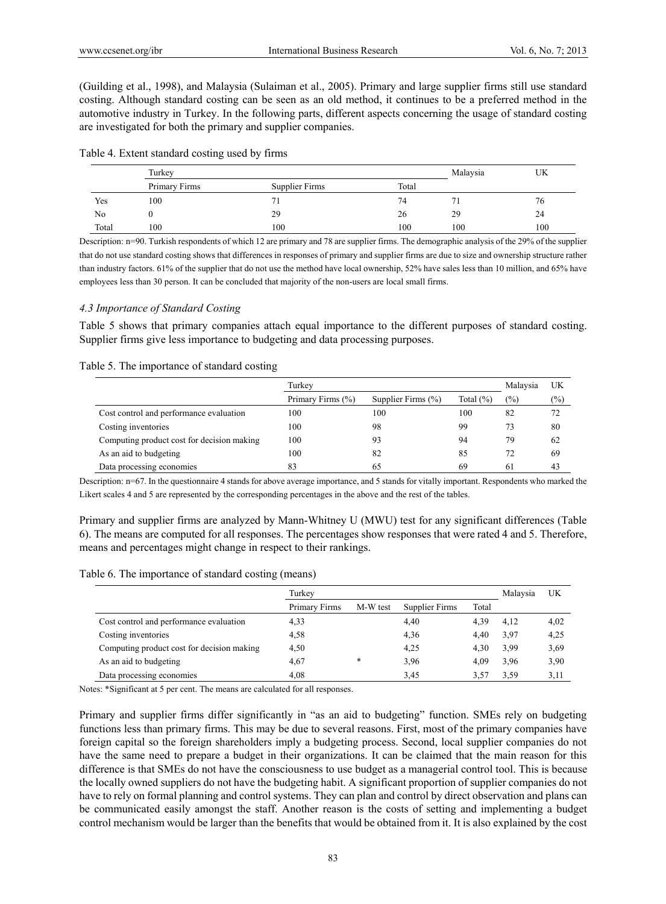(Guilding et al., 1998), and Malaysia (Sulaiman et al., 2005). Primary and large supplier firms still use standard costing. Although standard costing can be seen as an old method, it continues to be a preferred method in the automotive industry in Turkey. In the following parts, different aspects concerning the usage of standard costing are investigated for both the primary and supplier companies.

|       | Turkey        |                |       | Malaysia | UK  |
|-------|---------------|----------------|-------|----------|-----|
|       | Primary Firms | Supplier Firms | Total |          |     |
| Yes   | 100           |                | 74    |          | 76  |
| No    |               | 29             | 26    | 29       | 24  |
| Total | 100           | 100            | 100   | 100      | 100 |

Description: n=90. Turkish respondents of which 12 are primary and 78 are supplier firms. The demographic analysis of the 29% of the supplier that do not use standard costing shows that differences in responses of primary and supplier firms are due to size and ownership structure rather than industry factors. 61% of the supplier that do not use the method have local ownership, 52% have sales less than 10 million, and 65% have employees less than 30 person. It can be concluded that majority of the non-users are local small firms.

## *4.3 Importance of Standard Costing*

Table 5 shows that primary companies attach equal importance to the different purposes of standard costing. Supplier firms give less importance to budgeting and data processing purposes.

#### Table 5. The importance of standard costing

|                                            | Turkey            |                    |              | Malaysia | UK            |
|--------------------------------------------|-------------------|--------------------|--------------|----------|---------------|
|                                            | Primary Firms (%) | Supplier Firms (%) | Total $(\%)$ | $(\%)$   | $\frac{6}{2}$ |
| Cost control and performance evaluation    | 100               | 100                | 100          | 82       | 72            |
| Costing inventories                        | 100               | 98                 | 99           | 73       | 80            |
| Computing product cost for decision making | 100               | 93                 | 94           | 79       | 62            |
| As an aid to budgeting                     | 100               | 82                 | 85           | 72       | 69            |
| Data processing economies                  | 83                | 65                 | 69           | 61       | 43            |

Description: n=67. In the questionnaire 4 stands for above average importance, and 5 stands for vitally important. Respondents who marked the Likert scales 4 and 5 are represented by the corresponding percentages in the above and the rest of the tables.

Primary and supplier firms are analyzed by Mann-Whitney U (MWU) test for any significant differences (Table 6). The means are computed for all responses. The percentages show responses that were rated 4 and 5. Therefore, means and percentages might change in respect to their rankings.

| Table 6. The importance of standard costing (means) |  |  |  |  |  |
|-----------------------------------------------------|--|--|--|--|--|
|-----------------------------------------------------|--|--|--|--|--|

|                                            | Turkey        |          |                |       | Malaysia | UK   |
|--------------------------------------------|---------------|----------|----------------|-------|----------|------|
|                                            | Primary Firms | M-W test | Supplier Firms | Total |          |      |
| Cost control and performance evaluation    | 4,33          |          | 4,40           | 4,39  | 4,12     | 4,02 |
| Costing inventories                        | 4,58          |          | 4,36           | 4,40  | 3.97     | 4,25 |
| Computing product cost for decision making | 4,50          |          | 4,25           | 4,30  | 3.99     | 3.69 |
| As an aid to budgeting                     | 4,67          | *        | 3.96           | 4,09  | 3.96     | 3,90 |
| Data processing economies                  | 4,08          |          | 3.45           | 3.57  | 3.59     | 3,11 |

Notes: \*Significant at 5 per cent. The means are calculated for all responses.

Primary and supplier firms differ significantly in "as an aid to budgeting" function. SMEs rely on budgeting functions less than primary firms. This may be due to several reasons. First, most of the primary companies have foreign capital so the foreign shareholders imply a budgeting process. Second, local supplier companies do not have the same need to prepare a budget in their organizations. It can be claimed that the main reason for this difference is that SMEs do not have the consciousness to use budget as a managerial control tool. This is because the locally owned suppliers do not have the budgeting habit. A significant proportion of supplier companies do not have to rely on formal planning and control systems. They can plan and control by direct observation and plans can be communicated easily amongst the staff. Another reason is the costs of setting and implementing a budget control mechanism would be larger than the benefits that would be obtained from it. It is also explained by the cost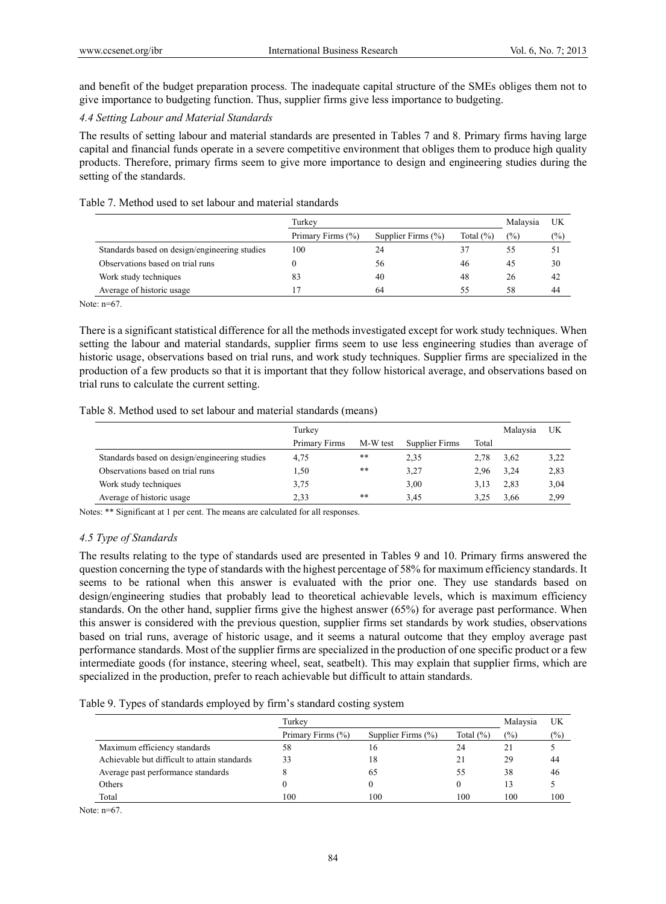and benefit of the budget preparation process. The inadequate capital structure of the SMEs obliges them not to give importance to budgeting function. Thus, supplier firms give less importance to budgeting.

# *4.4 Setting Labour and Material Standards*

The results of setting labour and material standards are presented in Tables 7 and 8. Primary firms having large capital and financial funds operate in a severe competitive environment that obliges them to produce high quality products. Therefore, primary firms seem to give more importance to design and engineering studies during the setting of the standards.

## Table 7. Method used to set labour and material standards

|                                               | Turkey            |                        |              | Malaysia | UK            |
|-----------------------------------------------|-------------------|------------------------|--------------|----------|---------------|
|                                               | Primary Firms (%) | Supplier Firms $(\% )$ | Total $(\%)$ | $(\%)$   | $\frac{1}{2}$ |
| Standards based on design/engineering studies | 100               | 24                     | 37           | 55       | 51            |
| Observations based on trial runs              |                   | 56                     | 46           | 45       | 30            |
| Work study techniques                         | 83                | 40                     | 48           | 26       | 42            |
| Average of historic usage                     | 17                | 64                     | 55           | 58       | 44            |

Note: n=67.

There is a significant statistical difference for all the methods investigated except for work study techniques. When setting the labour and material standards, supplier firms seem to use less engineering studies than average of historic usage, observations based on trial runs, and work study techniques. Supplier firms are specialized in the production of a few products so that it is important that they follow historical average, and observations based on trial runs to calculate the current setting.

# Table 8. Method used to set labour and material standards (means)

|                                               | Turkey        |          |                |       | Malaysia | UK   |
|-----------------------------------------------|---------------|----------|----------------|-------|----------|------|
|                                               | Primary Firms | M-W test | Supplier Firms | Total |          |      |
| Standards based on design/engineering studies | 4.75          | **       | 2,35           | 2.78  | 3.62     | 3,22 |
| Observations based on trial runs              | 1.50          | **       | 3,27           | 2.96  | 3.24     | 2,83 |
| Work study techniques                         | 3.75          |          | 3,00           | 3.13  | 2.83     | 3,04 |
| Average of historic usage                     | 2,33          | **       | 3.45           |       | 3,66     | 2.99 |

Notes: \*\* Significant at 1 per cent. The means are calculated for all responses.

# *4.5 Type of Standards*

The results relating to the type of standards used are presented in Tables 9 and 10. Primary firms answered the question concerning the type of standards with the highest percentage of 58% for maximum efficiency standards. It seems to be rational when this answer is evaluated with the prior one. They use standards based on design/engineering studies that probably lead to theoretical achievable levels, which is maximum efficiency standards. On the other hand, supplier firms give the highest answer (65%) for average past performance. When this answer is considered with the previous question, supplier firms set standards by work studies, observations based on trial runs, average of historic usage, and it seems a natural outcome that they employ average past performance standards. Most of the supplier firms are specialized in the production of one specific product or a few intermediate goods (for instance, steering wheel, seat, seatbelt). This may explain that supplier firms, which are specialized in the production, prefer to reach achievable but difficult to attain standards.

|  |  |  | Table 9. Types of standards employed by firm's standard costing system |
|--|--|--|------------------------------------------------------------------------|
|  |  |  |                                                                        |

|                                              | Turkev            | Malaysia               | UK           |                |        |
|----------------------------------------------|-------------------|------------------------|--------------|----------------|--------|
|                                              | Primary Firms (%) | Supplier Firms $(\% )$ | Total $(\%)$ | $\binom{0}{0}$ | $(\%)$ |
| Maximum efficiency standards                 | 58                | 16                     | 24           | 21             |        |
| Achievable but difficult to attain standards | 33                | 18                     |              | 29             | 44     |
| Average past performance standards           |                   | 65                     | 55           | 38             | 46     |
| Others                                       |                   |                        |              | 13             |        |
| Total                                        | 100               | 100                    | 100          | 100            | 100    |

Note: n=67.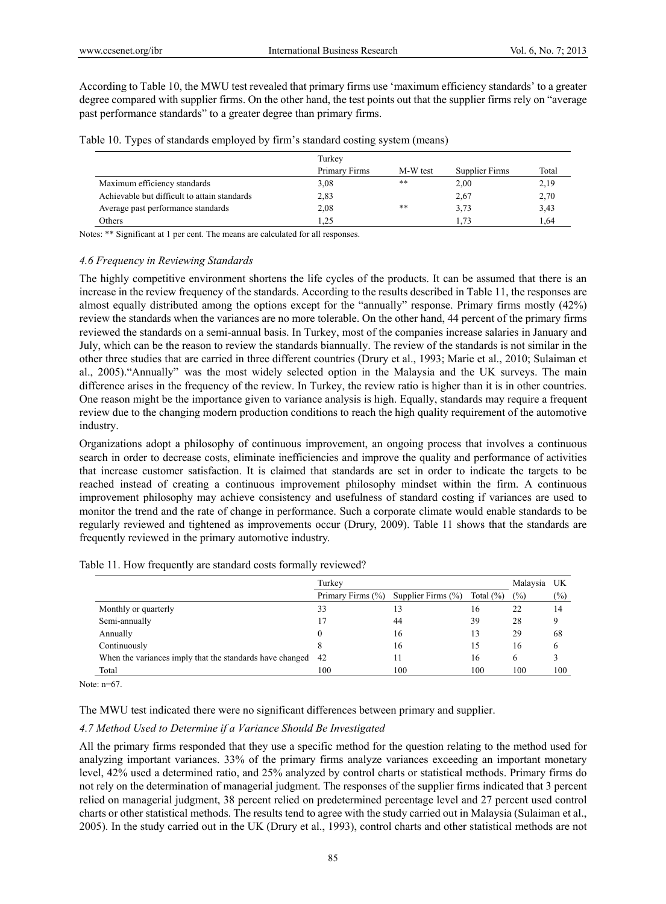According to Table 10, the MWU test revealed that primary firms use 'maximum efficiency standards' to a greater degree compared with supplier firms. On the other hand, the test points out that the supplier firms rely on "average past performance standards" to a greater degree than primary firms.

|  | Table 10. Types of standards employed by firm's standard costing system (means) |  |  |  |
|--|---------------------------------------------------------------------------------|--|--|--|
|--|---------------------------------------------------------------------------------|--|--|--|

|                                              | Turkev        |          |                |       |
|----------------------------------------------|---------------|----------|----------------|-------|
|                                              | Primary Firms | M-W test | Supplier Firms | Total |
| Maximum efficiency standards                 | 3.08          | **       | 2,00           | 2,19  |
| Achievable but difficult to attain standards | 2,83          |          | 2,67           | 2,70  |
| Average past performance standards           | 2,08          | **       | 3.73           | 3.43  |
| Others                                       | 1.25          |          | .73            | .64   |

Notes: \*\* Significant at 1 per cent. The means are calculated for all responses.

## *4.6 Frequency in Reviewing Standards*

The highly competitive environment shortens the life cycles of the products. It can be assumed that there is an increase in the review frequency of the standards. According to the results described in Table 11, the responses are almost equally distributed among the options except for the "annually" response. Primary firms mostly (42%) review the standards when the variances are no more tolerable. On the other hand, 44 percent of the primary firms reviewed the standards on a semi-annual basis. In Turkey, most of the companies increase salaries in January and July, which can be the reason to review the standards biannually. The review of the standards is not similar in the other three studies that are carried in three different countries (Drury et al., 1993; Marie et al., 2010; Sulaiman et al., 2005)."Annually" was the most widely selected option in the Malaysia and the UK surveys. The main difference arises in the frequency of the review. In Turkey, the review ratio is higher than it is in other countries. One reason might be the importance given to variance analysis is high. Equally, standards may require a frequent review due to the changing modern production conditions to reach the high quality requirement of the automotive industry.

Organizations adopt a philosophy of continuous improvement, an ongoing process that involves a continuous search in order to decrease costs, eliminate inefficiencies and improve the quality and performance of activities that increase customer satisfaction. It is claimed that standards are set in order to indicate the targets to be reached instead of creating a continuous improvement philosophy mindset within the firm. A continuous improvement philosophy may achieve consistency and usefulness of standard costing if variances are used to monitor the trend and the rate of change in performance. Such a corporate climate would enable standards to be regularly reviewed and tightened as improvements occur (Drury, 2009). Table 11 shows that the standards are frequently reviewed in the primary automotive industry.

|                                                             | Turkey            |                    |               | Malaysia | UK     |
|-------------------------------------------------------------|-------------------|--------------------|---------------|----------|--------|
|                                                             | Primary Firms (%) | Supplier Firms (%) | Total $(\% )$ | (%)      | $(\%)$ |
| Monthly or quarterly                                        | 33                |                    | 16            | 22       | 14     |
| Semi-annually                                               | 17                | 44                 | 39            | 28       | Q      |
| Annually                                                    |                   | 16                 | 13            | 29       | 68     |
| Continuously                                                |                   | 16                 | 15            | 16       | 6      |
| When the variances imply that the standards have changed 42 |                   |                    | 16            | h        |        |
| Total                                                       | 100               | 100                | 100           | 100      | 100    |

Table 11. How frequently are standard costs formally reviewed?

Note: n=67.

The MWU test indicated there were no significant differences between primary and supplier.

# *4.7 Method Used to Determine if a Variance Should Be Investigated*

All the primary firms responded that they use a specific method for the question relating to the method used for analyzing important variances. 33% of the primary firms analyze variances exceeding an important monetary level, 42% used a determined ratio, and 25% analyzed by control charts or statistical methods. Primary firms do not rely on the determination of managerial judgment. The responses of the supplier firms indicated that 3 percent relied on managerial judgment, 38 percent relied on predetermined percentage level and 27 percent used control charts or other statistical methods. The results tend to agree with the study carried out in Malaysia (Sulaiman et al., 2005). In the study carried out in the UK (Drury et al., 1993), control charts and other statistical methods are not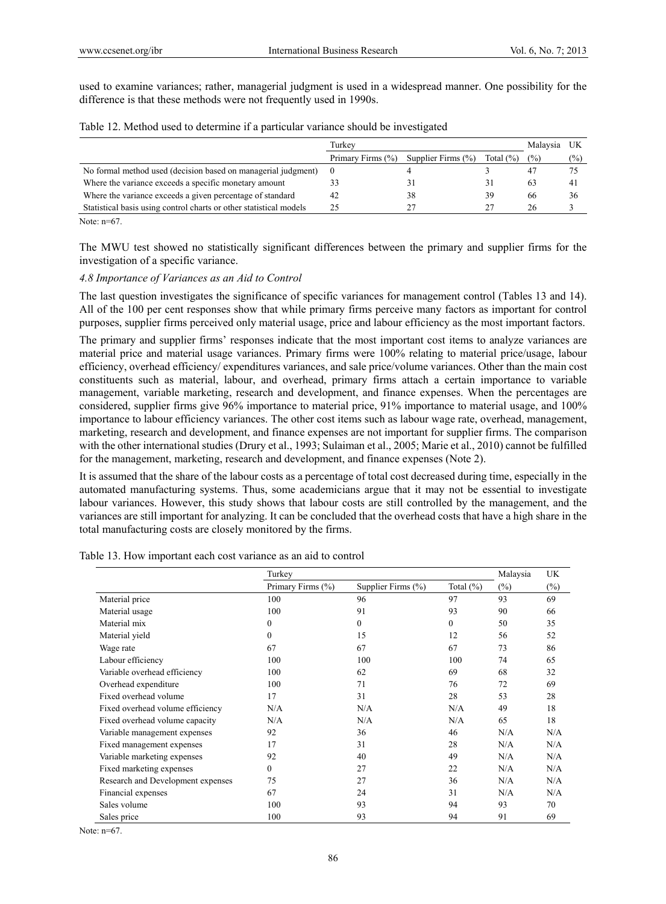used to examine variances; rather, managerial judgment is used in a widespread manner. One possibility for the difference is that these methods were not frequently used in 1990s.

|  | Table 12. Method used to determine if a particular variance should be investigated |  |  |  |
|--|------------------------------------------------------------------------------------|--|--|--|
|  |                                                                                    |  |  |  |

|                                                                    | Turkev            |                        |              | Malaysia      |                |
|--------------------------------------------------------------------|-------------------|------------------------|--------------|---------------|----------------|
|                                                                    | Primary Firms (%) | Supplier Firms $(\% )$ | Total $(\%)$ | $\frac{1}{2}$ | $\frac{1}{2}$  |
| No formal method used (decision based on managerial judgment)      |                   |                        |              |               |                |
| Where the variance exceeds a specific monetary amount              |                   |                        | 31           | 63            | $\overline{4}$ |
| Where the variance exceeds a given percentage of standard          | 42                | 38                     | 39           | 66            | 36             |
| Statistical basis using control charts or other statistical models | つく                |                        |              | 26            |                |

Note:  $n=67$ .

The MWU test showed no statistically significant differences between the primary and supplier firms for the investigation of a specific variance.

#### *4.8 Importance of Variances as an Aid to Control*

The last question investigates the significance of specific variances for management control (Tables 13 and 14). All of the 100 per cent responses show that while primary firms perceive many factors as important for control purposes, supplier firms perceived only material usage, price and labour efficiency as the most important factors.

The primary and supplier firms' responses indicate that the most important cost items to analyze variances are material price and material usage variances. Primary firms were 100% relating to material price/usage, labour efficiency, overhead efficiency/ expenditures variances, and sale price/volume variances. Other than the main cost constituents such as material, labour, and overhead, primary firms attach a certain importance to variable management, variable marketing, research and development, and finance expenses. When the percentages are considered, supplier firms give 96% importance to material price, 91% importance to material usage, and 100% importance to labour efficiency variances. The other cost items such as labour wage rate, overhead, management, marketing, research and development, and finance expenses are not important for supplier firms. The comparison with the other international studies (Drury et al., 1993; Sulaiman et al., 2005; Marie et al., 2010) cannot be fulfilled for the management, marketing, research and development, and finance expenses (Note 2).

It is assumed that the share of the labour costs as a percentage of total cost decreased during time, especially in the automated manufacturing systems. Thus, some academicians argue that it may not be essential to investigate labour variances. However, this study shows that labour costs are still controlled by the management, and the variances are still important for analyzing. It can be concluded that the overhead costs that have a high share in the total manufacturing costs are closely monitored by the firms.

|                                   | Turkey            | Malaysia           |               |        |        |
|-----------------------------------|-------------------|--------------------|---------------|--------|--------|
|                                   | Primary Firms (%) | Supplier Firms (%) | Total $(\% )$ | $(\%)$ | $(\%)$ |
| Material price                    | 100               | 96                 | 97            | 93     | 69     |
| Material usage                    | 100               | 91                 | 93            | 90     | 66     |
| Material mix                      | $\theta$          | $\theta$           | $\mathbf{0}$  | 50     | 35     |
| Material yield                    | $\theta$          | 15                 | 12            | 56     | 52     |
| Wage rate                         | 67                | 67                 | 67            | 73     | 86     |
| Labour efficiency                 | 100               | 100                | 100           | 74     | 65     |
| Variable overhead efficiency      | 100               | 62                 | 69            | 68     | 32     |
| Overhead expenditure              | 100               | 71                 | 76            | 72     | 69     |
| Fixed overhead volume             | 17                | 31                 | 28            | 53     | 28     |
| Fixed overhead volume efficiency  | N/A               | N/A                | N/A           | 49     | 18     |
| Fixed overhead volume capacity    | N/A               | N/A                | N/A           | 65     | 18     |
| Variable management expenses      | 92                | 36                 | 46            | N/A    | N/A    |
| Fixed management expenses         | 17                | 31                 | 28            | N/A    | N/A    |
| Variable marketing expenses       | 92                | 40                 | 49            | N/A    | N/A    |
| Fixed marketing expenses          | $\Omega$          | 27                 | 22            | N/A    | N/A    |
| Research and Development expenses | 75                | 27                 | 36            | N/A    | N/A    |
| Financial expenses                | 67                | 24                 | 31            | N/A    | N/A    |
| Sales volume                      | 100               | 93                 | 94            | 93     | 70     |
| Sales price                       | 100               | 93                 | 94            | 91     | 69     |

Table 13. How important each cost variance as an aid to control

Note: n=67.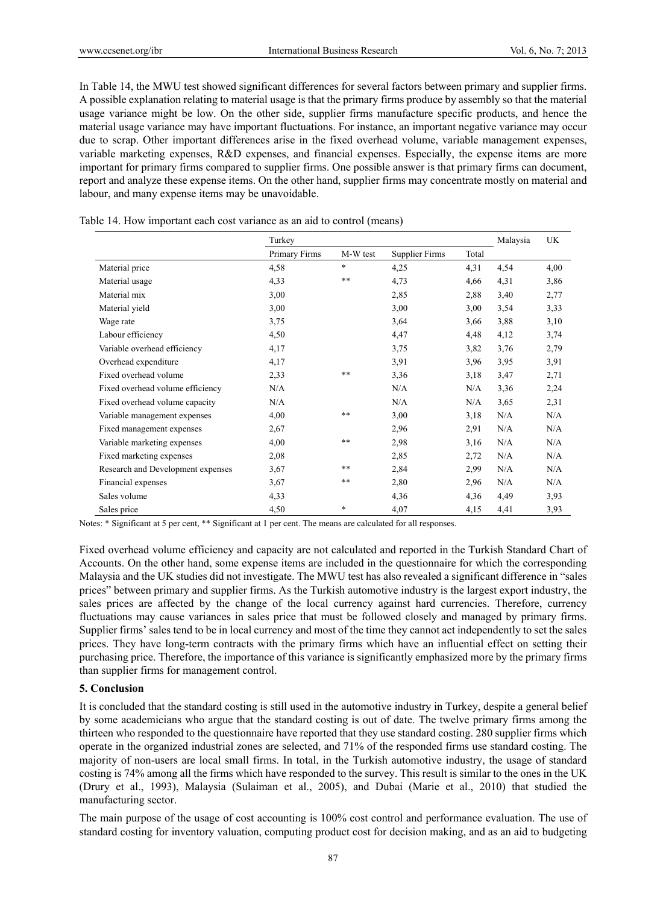In Table 14, the MWU test showed significant differences for several factors between primary and supplier firms. A possible explanation relating to material usage is that the primary firms produce by assembly so that the material usage variance might be low. On the other side, supplier firms manufacture specific products, and hence the material usage variance may have important fluctuations. For instance, an important negative variance may occur due to scrap. Other important differences arise in the fixed overhead volume, variable management expenses, variable marketing expenses, R&D expenses, and financial expenses. Especially, the expense items are more important for primary firms compared to supplier firms. One possible answer is that primary firms can document, report and analyze these expense items. On the other hand, supplier firms may concentrate mostly on material and labour, and many expense items may be unavoidable.

|                                   | Turkey        |          |                |       | Malaysia | UK   |
|-----------------------------------|---------------|----------|----------------|-------|----------|------|
|                                   | Primary Firms | M-W test | Supplier Firms | Total |          |      |
| Material price                    | 4,58          | $\ast$   | 4,25           | 4,31  | 4,54     | 4,00 |
| Material usage                    | 4,33          | $***$    | 4,73           | 4,66  | 4,31     | 3,86 |
| Material mix                      | 3,00          |          | 2,85           | 2,88  | 3,40     | 2,77 |
| Material yield                    | 3,00          |          | 3,00           | 3,00  | 3,54     | 3,33 |
| Wage rate                         | 3,75          |          | 3,64           | 3,66  | 3,88     | 3,10 |
| Labour efficiency                 | 4,50          |          | 4,47           | 4,48  | 4,12     | 3,74 |
| Variable overhead efficiency      | 4,17          |          | 3,75           | 3,82  | 3,76     | 2,79 |
| Overhead expenditure              | 4,17          |          | 3,91           | 3,96  | 3,95     | 3,91 |
| Fixed overhead volume             | 2,33          | $***$    | 3,36           | 3,18  | 3,47     | 2,71 |
| Fixed overhead volume efficiency  | N/A           |          | N/A            | N/A   | 3,36     | 2,24 |
| Fixed overhead volume capacity    | N/A           |          | N/A            | N/A   | 3,65     | 2,31 |
| Variable management expenses      | 4,00          | $***$    | 3,00           | 3,18  | N/A      | N/A  |
| Fixed management expenses         | 2,67          |          | 2,96           | 2,91  | N/A      | N/A  |
| Variable marketing expenses       | 4,00          | $***$    | 2,98           | 3,16  | N/A      | N/A  |
| Fixed marketing expenses          | 2,08          |          | 2,85           | 2,72  | N/A      | N/A  |
| Research and Development expenses | 3,67          | $***$    | 2,84           | 2,99  | N/A      | N/A  |
| Financial expenses                | 3,67          | $***$    | 2,80           | 2,96  | N/A      | N/A  |
| Sales volume                      | 4,33          |          | 4,36           | 4,36  | 4,49     | 3,93 |
| Sales price                       | 4,50          | $\ast$   | 4,07           | 4,15  | 4,41     | 3,93 |

Table 14. How important each cost variance as an aid to control (means)

Notes: \* Significant at 5 per cent, \*\* Significant at 1 per cent. The means are calculated for all responses.

Fixed overhead volume efficiency and capacity are not calculated and reported in the Turkish Standard Chart of Accounts. On the other hand, some expense items are included in the questionnaire for which the corresponding Malaysia and the UK studies did not investigate. The MWU test has also revealed a significant difference in "sales prices" between primary and supplier firms. As the Turkish automotive industry is the largest export industry, the sales prices are affected by the change of the local currency against hard currencies. Therefore, currency fluctuations may cause variances in sales price that must be followed closely and managed by primary firms. Supplier firms' sales tend to be in local currency and most of the time they cannot act independently to set the sales prices. They have long-term contracts with the primary firms which have an influential effect on setting their purchasing price. Therefore, the importance of this variance is significantly emphasized more by the primary firms than supplier firms for management control.

## **5. Conclusion**

It is concluded that the standard costing is still used in the automotive industry in Turkey, despite a general belief by some academicians who argue that the standard costing is out of date. The twelve primary firms among the thirteen who responded to the questionnaire have reported that they use standard costing. 280 supplier firms which operate in the organized industrial zones are selected, and 71% of the responded firms use standard costing. The majority of non-users are local small firms. In total, in the Turkish automotive industry, the usage of standard costing is 74% among all the firms which have responded to the survey. This result is similar to the ones in the UK (Drury et al., 1993), Malaysia (Sulaiman et al., 2005), and Dubai (Marie et al., 2010) that studied the manufacturing sector.

The main purpose of the usage of cost accounting is 100% cost control and performance evaluation. The use of standard costing for inventory valuation, computing product cost for decision making, and as an aid to budgeting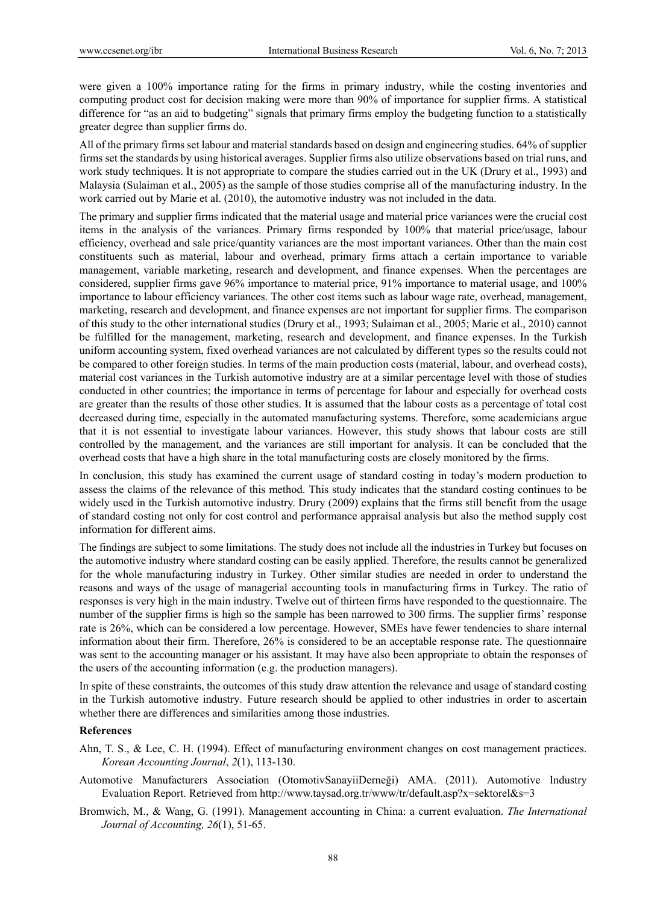were given a 100% importance rating for the firms in primary industry, while the costing inventories and computing product cost for decision making were more than 90% of importance for supplier firms. A statistical difference for "as an aid to budgeting" signals that primary firms employ the budgeting function to a statistically greater degree than supplier firms do.

All of the primary firms set labour and material standards based on design and engineering studies. 64% of supplier firms set the standards by using historical averages. Supplier firms also utilize observations based on trial runs, and work study techniques. It is not appropriate to compare the studies carried out in the UK (Drury et al., 1993) and Malaysia (Sulaiman et al., 2005) as the sample of those studies comprise all of the manufacturing industry. In the work carried out by Marie et al. (2010), the automotive industry was not included in the data.

The primary and supplier firms indicated that the material usage and material price variances were the crucial cost items in the analysis of the variances. Primary firms responded by 100% that material price/usage, labour efficiency, overhead and sale price/quantity variances are the most important variances. Other than the main cost constituents such as material, labour and overhead, primary firms attach a certain importance to variable management, variable marketing, research and development, and finance expenses. When the percentages are considered, supplier firms gave 96% importance to material price, 91% importance to material usage, and 100% importance to labour efficiency variances. The other cost items such as labour wage rate, overhead, management, marketing, research and development, and finance expenses are not important for supplier firms. The comparison of this study to the other international studies (Drury et al., 1993; Sulaiman et al., 2005; Marie et al., 2010) cannot be fulfilled for the management, marketing, research and development, and finance expenses. In the Turkish uniform accounting system, fixed overhead variances are not calculated by different types so the results could not be compared to other foreign studies. In terms of the main production costs (material, labour, and overhead costs), material cost variances in the Turkish automotive industry are at a similar percentage level with those of studies conducted in other countries; the importance in terms of percentage for labour and especially for overhead costs are greater than the results of those other studies. It is assumed that the labour costs as a percentage of total cost decreased during time, especially in the automated manufacturing systems. Therefore, some academicians argue that it is not essential to investigate labour variances. However, this study shows that labour costs are still controlled by the management, and the variances are still important for analysis. It can be concluded that the overhead costs that have a high share in the total manufacturing costs are closely monitored by the firms.

In conclusion, this study has examined the current usage of standard costing in today's modern production to assess the claims of the relevance of this method. This study indicates that the standard costing continues to be widely used in the Turkish automotive industry. Drury (2009) explains that the firms still benefit from the usage of standard costing not only for cost control and performance appraisal analysis but also the method supply cost information for different aims.

The findings are subject to some limitations. The study does not include all the industries in Turkey but focuses on the automotive industry where standard costing can be easily applied. Therefore, the results cannot be generalized for the whole manufacturing industry in Turkey. Other similar studies are needed in order to understand the reasons and ways of the usage of managerial accounting tools in manufacturing firms in Turkey. The ratio of responses is very high in the main industry. Twelve out of thirteen firms have responded to the questionnaire. The number of the supplier firms is high so the sample has been narrowed to 300 firms. The supplier firms' response rate is 26%, which can be considered a low percentage. However, SMEs have fewer tendencies to share internal information about their firm. Therefore, 26% is considered to be an acceptable response rate. The questionnaire was sent to the accounting manager or his assistant. It may have also been appropriate to obtain the responses of the users of the accounting information (e.g. the production managers).

In spite of these constraints, the outcomes of this study draw attention the relevance and usage of standard costing in the Turkish automotive industry. Future research should be applied to other industries in order to ascertain whether there are differences and similarities among those industries.

#### **References**

- Ahn, T. S., & Lee, C. H. (1994). Effect of manufacturing environment changes on cost management practices. *Korean Accounting Journal*, *2*(1), 113-130.
- Automotive Manufacturers Association (OtomotivSanayiiDerneği) AMA. (2011). Automotive Industry Evaluation Report. Retrieved from http://www.taysad.org.tr/www/tr/default.asp?x=sektorel&s=3
- Bromwich, M., & Wang, G. (1991). Management accounting in China: a current evaluation. *The International Journal of Accounting, 26*(1), 51-65.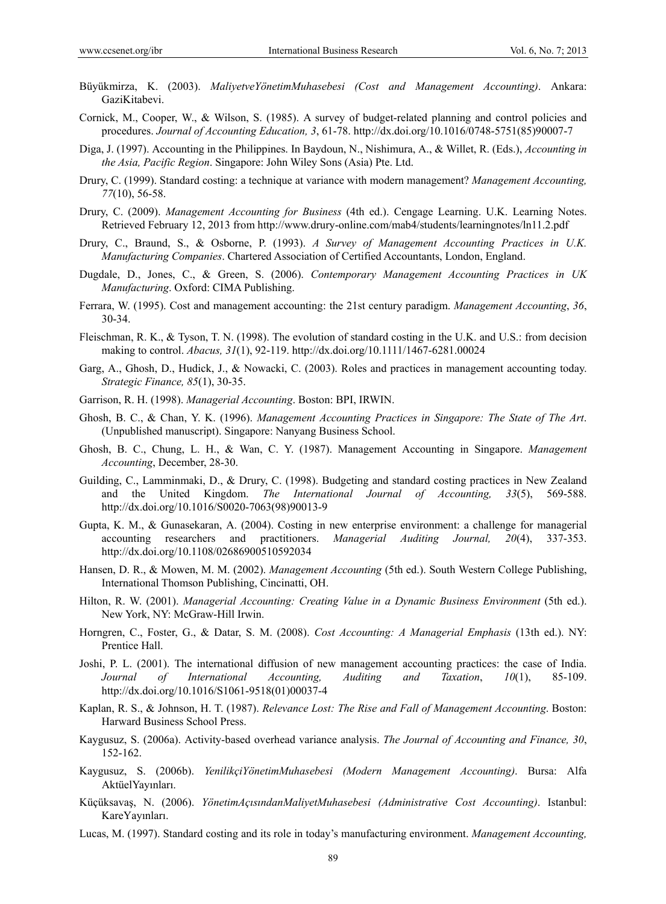- Büyükmirza, K. (2003). *MaliyetveYönetimMuhasebesi (Cost and Management Accounting)*. Ankara: GaziKitabevi.
- Cornick, M., Cooper, W., & Wilson, S. (1985). A survey of budget-related planning and control policies and procedures. *Journal of Accounting Education, 3*, 61-78. http://dx.doi.org/10.1016/0748-5751(85)90007-7
- Diga, J. (1997). Accounting in the Philippines. In Baydoun, N., Nishimura, A., & Willet, R. (Eds.), *Accounting in the Asia, Pacific Region*. Singapore: John Wiley Sons (Asia) Pte. Ltd.
- Drury, C. (1999). Standard costing: a technique at variance with modern management? *Management Accounting, 77*(10), 56-58.
- Drury, C. (2009). *Management Accounting for Business* (4th ed.). Cengage Learning. U.K. Learning Notes. Retrieved February 12, 2013 from http://www.drury-online.com/mab4/students/learningnotes/ln11.2.pdf
- Drury, C., Braund, S., & Osborne, P. (1993). *A Survey of Management Accounting Practices in U.K. Manufacturing Companies*. Chartered Association of Certified Accountants, London, England.
- Dugdale, D., Jones, C., & Green, S. (2006). *Contemporary Management Accounting Practices in UK Manufacturing*. Oxford: CIMA Publishing.
- Ferrara, W. (1995). Cost and management accounting: the 21st century paradigm. *Management Accounting*, *36*, 30-34.
- Fleischman, R. K., & Tyson, T. N. (1998). The evolution of standard costing in the U.K. and U.S.: from decision making to control. *Abacus, 31*(1), 92-119. http://dx.doi.org/10.1111/1467-6281.00024
- Garg, A., Ghosh, D., Hudick, J., & Nowacki, C. (2003). Roles and practices in management accounting today. *Strategic Finance, 85*(1), 30-35.
- Garrison, R. H. (1998). *Managerial Accounting*. Boston: BPI, IRWIN.
- Ghosh, B. C., & Chan, Y. K. (1996). *Management Accounting Practices in Singapore: The State of The Art*. (Unpublished manuscript). Singapore: Nanyang Business School.
- Ghosh, B. C., Chung, L. H., & Wan, C. Y. (1987). Management Accounting in Singapore. *Management Accounting*, December, 28-30.
- Guilding, C., Lamminmaki, D., & Drury, C. (1998). Budgeting and standard costing practices in New Zealand and the United Kingdom. *The International Journal of Accounting, 33*(5), 569-588. http://dx.doi.org/10.1016/S0020-7063(98)90013-9
- Gupta, K. M., & Gunasekaran, A. (2004). Costing in new enterprise environment: a challenge for managerial accounting researchers and practitioners. *Managerial Auditing Journal, 20*(4), 337-353. http://dx.doi.org/10.1108/02686900510592034
- Hansen, D. R., & Mowen, M. M. (2002). *Management Accounting* (5th ed.). South Western College Publishing, International Thomson Publishing, Cincinatti, OH.
- Hilton, R. W. (2001). *Managerial Accounting: Creating Value in a Dynamic Business Environment* (5th ed.). New York, NY: McGraw-Hill Irwin.
- Horngren, C., Foster, G., & Datar, S. M. (2008). *Cost Accounting: A Managerial Emphasis* (13th ed.). NY: Prentice Hall.
- Joshi, P. L. (2001). The international diffusion of new management accounting practices: the case of India. *Journal of International Accounting, Auditing and Taxation*, *10*(1), 85-109. http://dx.doi.org/10.1016/S1061-9518(01)00037-4
- Kaplan, R. S., & Johnson, H. T. (1987). *Relevance Lost: The Rise and Fall of Management Accounting*. Boston: Harward Business School Press.
- Kaygusuz, S. (2006a). Activity-based overhead variance analysis. *The Journal of Accounting and Finance, 30*, 152-162.
- Kaygusuz, S. (2006b). *YenilikçiYönetimMuhasebesi (Modern Management Accounting)*. Bursa: Alfa AktüelYayınları.
- Küçüksavaş, N. (2006). *YönetimAçısındanMaliyetMuhasebesi (Administrative Cost Accounting)*. Istanbul: KareYayınları.
- Lucas, M. (1997). Standard costing and its role in today's manufacturing environment. *Management Accounting,*